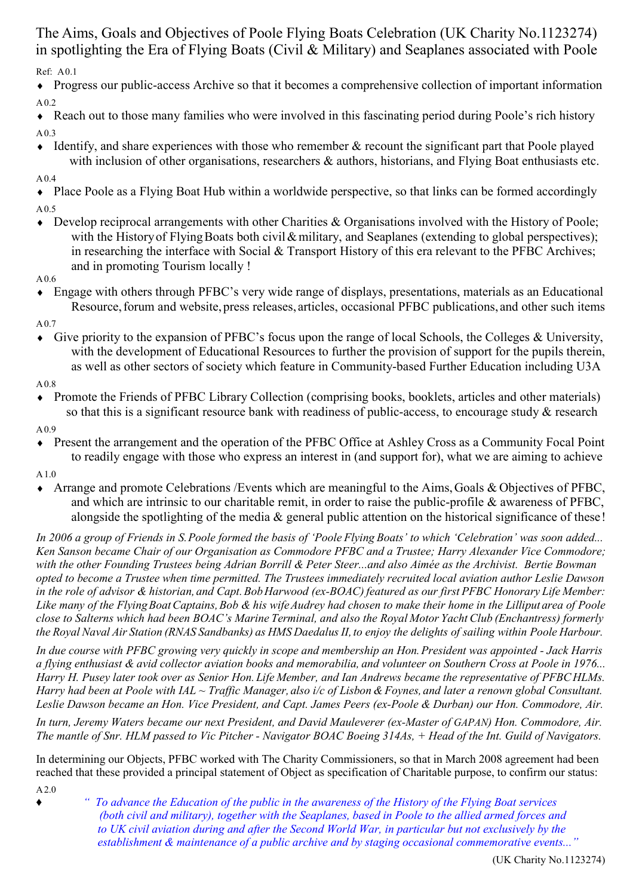Ref: A0.1 The Aims, Goals and Objectives of Poole Flying Boats Celebration (UK Charity No.1123274) in spotlighting the Era of Flying Boats (Civil & Military) and Seaplanes associated with Poole

♦ Progress our public-access Archive so that it becomes a comprehensive collection of important information A0.2

♦ Reach out to those many families who were involved in this fascinating period during Poole's rich history A0.3

 $\bullet$  Identify, and share experiences with those who remember & recount the significant part that Poole played with inclusion of other organisations, researchers & authors, historians, and Flying Boat enthusiasts etc.

#### A0.4

♦ Place Poole as a Flying Boat Hub within a worldwide perspective, so that links can be formed accordingly A0.5

- ♦ Develop reciprocal arrangements with other Charities & Organisations involved with the History of Poole; with the History of Flying Boats both civil & military, and Seaplanes (extending to global perspectives); in researching the interface with Social & Transport History of this era relevant to the PFBC Archives; and in promoting Tourism locally !
- A0.6
- ♦ Engage with others through PFBC's very wide range of displays, presentations, materials as an Educational Resource, forum and website, press releases, articles, occasional PFBC publications, and other such items

A0.7

♦ Give priority to the expansion of PFBC's focus upon the range of local Schools, the Colleges & University, with the development of Educational Resources to further the provision of support for the pupils therein, as well as other sectors of society which feature in Community-based Further Education including U3A

A0.8

- ♦ Promote the Friends of PFBC Library Collection (comprising books, booklets, articles and other materials) so that this is a significant resource bank with readiness of public-access, to encourage study & research
- A0.9
- ♦ Present the arrangement and the operation of the PFBC Office at Ashley Cross as a Community Focal Point to readily engage with those who express an interest in (and support for), what we are aiming to achieve
- A1.0
- Arrange and promote Celebrations /Events which are meaningful to the Aims, Goals & Objectives of PFBC, and which are intrinsic to our charitable remit, in order to raise the public-profile & awareness of PFBC, alongside the spotlighting of the media & general public attention on the historical significance of these!

In 2006 a group of Friends in S.Poole formed the basis of 'Poole Flying Boats' to which 'Celebration' was soon added... Ken Sanson became Chair of our Organisation as Commodore PFBC and a Trustee; Harry Alexander Vice Commodore; with the other Founding Trustees being Adrian Borrill & Peter Steer...and also Aimée as the Archivist. Bertie Bowman opted to become a Trustee when time permitted. The Trustees immediately recruited local aviation author Leslie Dawson in the role of advisor & historian, and Capt. Bob Harwood (ex-BOAC) featured as our first PFBC Honorary Life Member: Like many of the Flying Boat Captains, Bob & his wife Audrey had chosen to make their home in the Lilliput area of Poole close to Salterns which had been BOAC's Marine Terminal, and also the Royal Motor Yacht Club (Enchantress) formerly the Royal Naval Air Station (RNAS Sandbanks) as HMS Daedalus II, to enjoy the delights of sailing within Poole Harbour.

In due course with PFBC growing very quickly in scope and membership an Hon. President was appointed - Jack Harris a flying enthusiast & avid collector aviation books and memorabilia, and volunteer on Southern Cross at Poole in 1976... Harry H. Pusey later took over as Senior Hon. Life Member, and Ian Andrews became the representative of PFBCHLMs. Harry had been at Poole with IAL  $\sim$  Traffic Manager, also i/c of Lisbon & Foynes, and later a renown global Consultant. Leslie Dawson became an Hon. Vice President, and Capt. James Peers (ex-Poole & Durban) our Hon. Commodore, Air.

In turn, Jeremy Waters became our next President, and David Mauleverer (ex-Master of GAPAN) Hon. Commodore, Air. The mantle of Snr. HLM passed to Vic Pitcher - Navigator BOAC Boeing 314As, + Head of the Int. Guild of Navigators.

In determining our Objects, PFBC worked with The Charity Commissioners, so that in March 2008 agreement had been reached that these provided a principal statement of Object as specification of Charitable purpose, to confirm our status:

A2.0

♦ " To advance the Education of the public in the awareness of the History of the Flying Boat services (both civil and military), together with the Seaplanes, based in Poole to the allied armed forces and to UK civil aviation during and after the Second World War, in particular but not exclusively by the establishment & maintenance of a public archive and by staging occasional commemorative events..."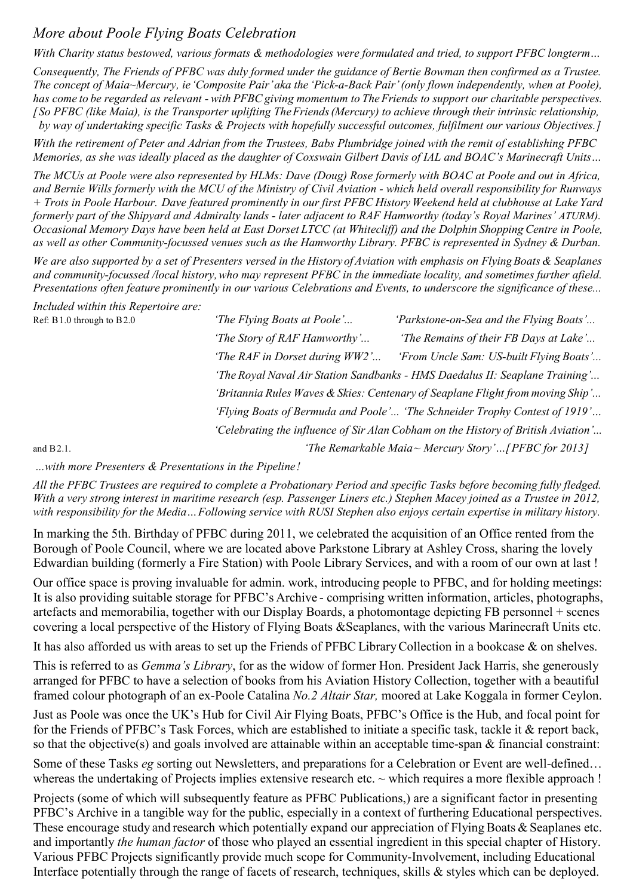# More about Poole Flying Boats Celebration

With Charity status bestowed, various formats & methodologies were formulated and tried, to support PFBC longterm...

Consequently, The Friends of PFBC was duly formed under the guidance of Bertie Bowman then confirmed as a Trustee. The concept of Maia~Mercury, ie'Composite Pair'aka the 'Pick-a-Back Pair'(only flown independently, when at Poole), has come to be regarded as relevant - with PFBC giving momentum to The Friends to support our charitable perspectives. [So PFBC (like Maia), is the Transporter uplifting TheFriends(Mercury) to achieve through their intrinsic relationship, by way of undertaking specific Tasks & Projects with hopefully successful outcomes, fulfilment our various Objectives. 1

With the retirement of Peter and Adrian from the Trustees, Babs Plumbridge joined with the remit of establishing PFBC Memories, as she was ideally placed as the daughter of Coxswain Gilbert Davis of IAL and BOAC's Marinecraft Units…

The MCUs at Poole were also represented by HLMs: Dave (Doug) Rose formerly with BOAC at Poole and out in Africa, and Bernie Wills formerly with the MCU of the Ministry of Civil Aviation - which held overall responsibility for Runways + Trots in Poole Harbour. Dave featured prominently in our first PFBC History Weekend held at clubhouse at Lake Yard formerly part of the Shipyard and Admiralty lands - later adjacent to RAF Hamworthy (today's Royal Marines' ATURM). Occasional Memory Days have been held at East Dorset LTCC (at Whitecliff) and the Dolphin Shopping Centre in Poole, as well as other Community-focussed venues such as the Hamworthy Library. PFBC is represented in Sydney & Durban.

We are also supported by a set of Presenters versed in the History of Aviation with emphasis on Flying Boats & Seaplanes and community-focussed /local history,who may represent PFBC in the immediate locality, and sometimes further afield. Presentations often feature prominently in our various Celebrations and Events, to underscore the significance of these...

Included within this Repertoire are:

| Ref: B1.0 through to B2.0 | 'The Flying Boats at Poole'    | 'Parkstone-on-Sea and the Flying Boats'                                           |
|---------------------------|--------------------------------|-----------------------------------------------------------------------------------|
|                           | 'The Story of RAF Hamworthy'   | 'The Remains of their FB Days at Lake'                                            |
|                           | 'The RAF in Dorset during WW2' | 'From Uncle Sam: US-built Flying Boats'                                           |
|                           |                                | "The Royal Naval Air Station Sandbanks - HMS Daedalus II: Seaplane Training'      |
|                           |                                | 'Britannia Rules Waves & Skies: Centenary of Seaplane Flight from moving Ship'    |
|                           |                                | 'Flying Boats of Bermuda and Poole' 'The Schneider Trophy Contest of 1919'        |
|                           |                                | 'Celebrating the influence of Sir Alan Cobham on the History of British Aviation' |
| and $B2.1$ .              |                                | 'The Remarkable Maia~ Mercury Story'[PFBC for 2013]                               |

...with more Presenters & Presentations in the Pipeline!

All the PFBC Trustees are required to complete a Probationary Period and specific Tasks before becoming fully fledged. With a very strong interest in maritime research (esp. Passenger Liners etc.) Stephen Macey joined as a Trustee in 2012, with responsibility for the Media... Following service with RUSI Stephen also enjoys certain expertise in military history.

In marking the 5th. Birthday of PFBC during 2011, we celebrated the acquisition of an Office rented from the Borough of Poole Council, where we are located above Parkstone Library at Ashley Cross, sharing the lovely Edwardian building (formerly a Fire Station) with Poole Library Services, and with a room of our own at last !

Our office space is proving invaluable for admin. work, introducing people to PFBC, and for holding meetings: It is also providing suitable storage for PFBC's Archive - comprising written information, articles, photographs, artefacts and memorabilia, together with our Display Boards, a photomontage depicting FB personnel + scenes covering a local perspective of the History of Flying Boats &Seaplanes, with the various Marinecraft Units etc.

It has also afforded us with areas to set up the Friends of PFBC LibraryCollection in a bookcase & on shelves.

This is referred to as *Gemma's Library*, for as the widow of former Hon. President Jack Harris, she generously arranged for PFBC to have a selection of books from his Aviation History Collection, together with a beautiful framed colour photograph of an ex-Poole Catalina No.2 Altair Star, moored at Lake Koggala in former Ceylon.

Just as Poole was once the UK's Hub for Civil Air Flying Boats, PFBC's Office is the Hub, and focal point for for the Friends of PFBC's Task Forces, which are established to initiate a specific task, tackle it & report back, so that the objective(s) and goals involved are attainable within an acceptable time-span & financial constraint:

Some of these Tasks eg sorting out Newsletters, and preparations for a Celebration or Event are well-defined... whereas the undertaking of Projects implies extensive research etc. ~ which requires a more flexible approach !

Projects (some of which will subsequently feature as PFBC Publications,) are a significant factor in presenting PFBC's Archive in a tangible way for the public, especially in a context of furthering Educational perspectives. These encourage study and research which potentially expand our appreciation of Flying Boats & Seaplanes etc. and importantly *the human factor* of those who played an essential ingredient in this special chapter of History. Various PFBC Projects significantly provide much scope for Community-Involvement, including Educational Interface potentially through the range of facets of research, techniques, skills & styles which can be deployed.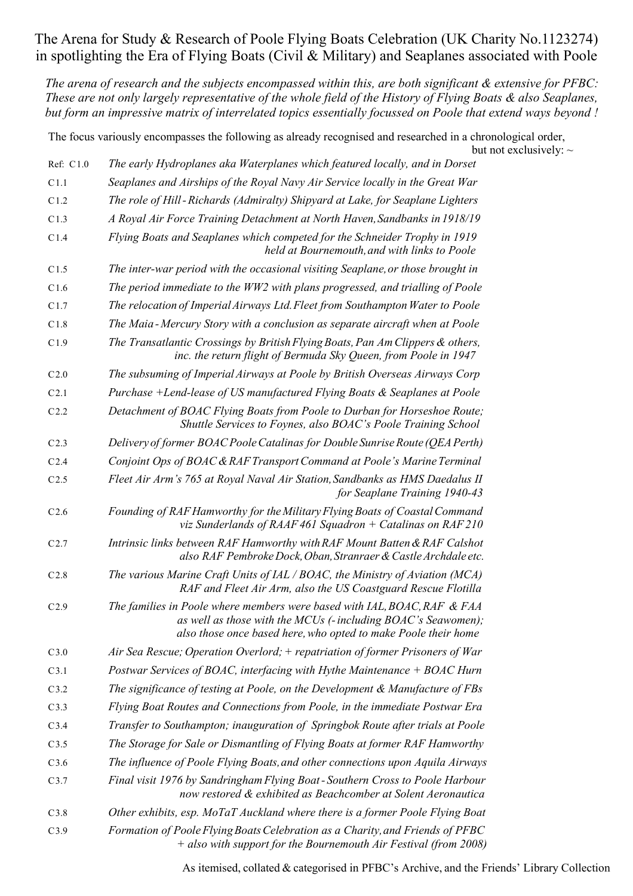## The Arena for Study & Research of Poole Flying Boats Celebration (UK Charity No.1123274) in spotlighting the Era of Flying Boats (Civil & Military) and Seaplanes associated with Poole

The arena of research and the subjects encompassed within this, are both significant & extensive for PFBC: These are not only largely representative of the whole field of the History of Flying Boats & also Seaplanes, but form an impressive matrix of interrelated topics essentially focussed on Poole that extend ways beyond !

The focus variously encompasses the following as already recognised and researched in a chronological order, but not exclusively:  $\sim$ 

| Ref: C1.0        | The early Hydroplanes aka Waterplanes which featured locally, and in Dorset                                                                                                                                |  |
|------------------|------------------------------------------------------------------------------------------------------------------------------------------------------------------------------------------------------------|--|
| C1.1             | Seaplanes and Airships of the Royal Navy Air Service locally in the Great War                                                                                                                              |  |
| C1.2             | The role of Hill-Richards (Admiralty) Shipyard at Lake, for Seaplane Lighters                                                                                                                              |  |
| C1.3             | A Royal Air Force Training Detachment at North Haven, Sandbanks in 1918/19                                                                                                                                 |  |
| C1.4             | Flying Boats and Seaplanes which competed for the Schneider Trophy in 1919<br>held at Bournemouth, and with links to Poole                                                                                 |  |
| C1.5             | The inter-war period with the occasional visiting Seaplane, or those brought in                                                                                                                            |  |
| C1.6             | The period immediate to the WW2 with plans progressed, and trialling of Poole                                                                                                                              |  |
| C1.7             | The relocation of Imperial Airways Ltd. Fleet from Southampton Water to Poole                                                                                                                              |  |
| C1.8             | The Maia-Mercury Story with a conclusion as separate aircraft when at Poole                                                                                                                                |  |
| C1.9             | The Transatlantic Crossings by British Flying Boats, Pan Am Clippers & others,<br>inc. the return flight of Bermuda Sky Queen, from Poole in 1947                                                          |  |
| C <sub>2.0</sub> | The subsuming of Imperial Airways at Poole by British Overseas Airways Corp                                                                                                                                |  |
| C2.1             | Purchase +Lend-lease of US manufactured Flying Boats & Seaplanes at Poole                                                                                                                                  |  |
| C2.2             | Detachment of BOAC Flying Boats from Poole to Durban for Horseshoe Route;<br>Shuttle Services to Foynes, also BOAC's Poole Training School                                                                 |  |
| C <sub>2.3</sub> | Delivery of former BOAC Poole Catalinas for Double Sunrise Route (QEA Perth)                                                                                                                               |  |
| C <sub>2.4</sub> | Conjoint Ops of BOAC & RAF Transport Command at Poole's Marine Terminal                                                                                                                                    |  |
| C2.5             | Fleet Air Arm's 765 at Royal Naval Air Station, Sandbanks as HMS Daedalus II<br>for Seaplane Training 1940-43                                                                                              |  |
| C <sub>2.6</sub> | Founding of RAF Hamworthy for the Military Flying Boats of Coastal Command<br>viz Sunderlands of RAAF 461 Squadron $+$ Catalinas on RAF 210                                                                |  |
| C2.7             | Intrinsic links between RAF Hamworthy with RAF Mount Batten & RAF Calshot<br>also RAF Pembroke Dock, Oban, Stranraer & Castle Archdale etc.                                                                |  |
| C <sub>2.8</sub> | The various Marine Craft Units of IAL / BOAC, the Ministry of Aviation (MCA)<br>RAF and Fleet Air Arm, also the US Coastguard Rescue Flotilla                                                              |  |
| C2.9             | The families in Poole where members were based with IAL, BOAC, RAF & FAA<br>as well as those with the MCUs (-including BOAC's Seawomen);<br>also those once based here, who opted to make Poole their home |  |
| C3.0             | Air Sea Rescue; Operation Overlord; + repatriation of former Prisoners of War                                                                                                                              |  |
| C3.1             | Postwar Services of BOAC, interfacing with Hythe Maintenance + BOAC Hurn                                                                                                                                   |  |
| C3.2             | The significance of testing at Poole, on the Development & Manufacture of FBs                                                                                                                              |  |
| C3.3             | Flying Boat Routes and Connections from Poole, in the immediate Postwar Era                                                                                                                                |  |
| C3.4             | Transfer to Southampton; inauguration of Springbok Route after trials at Poole                                                                                                                             |  |
| C3.5             | The Storage for Sale or Dismantling of Flying Boats at former RAF Hamworthy                                                                                                                                |  |
| C3.6             | The influence of Poole Flying Boats, and other connections upon Aquila Airways                                                                                                                             |  |
| C3.7             | Final visit 1976 by Sandringham Flying Boat-Southern Cross to Poole Harbour<br>now restored & exhibited as Beachcomber at Solent Aeronautica                                                               |  |
| C3.8             | Other exhibits, esp. MoTaT Auckland where there is a former Poole Flying Boat                                                                                                                              |  |
| C3.9             | Formation of Poole Flying Boats Celebration as a Charity, and Friends of PFBC<br>+ also with support for the Bournemouth Air Festival (from 2008)                                                          |  |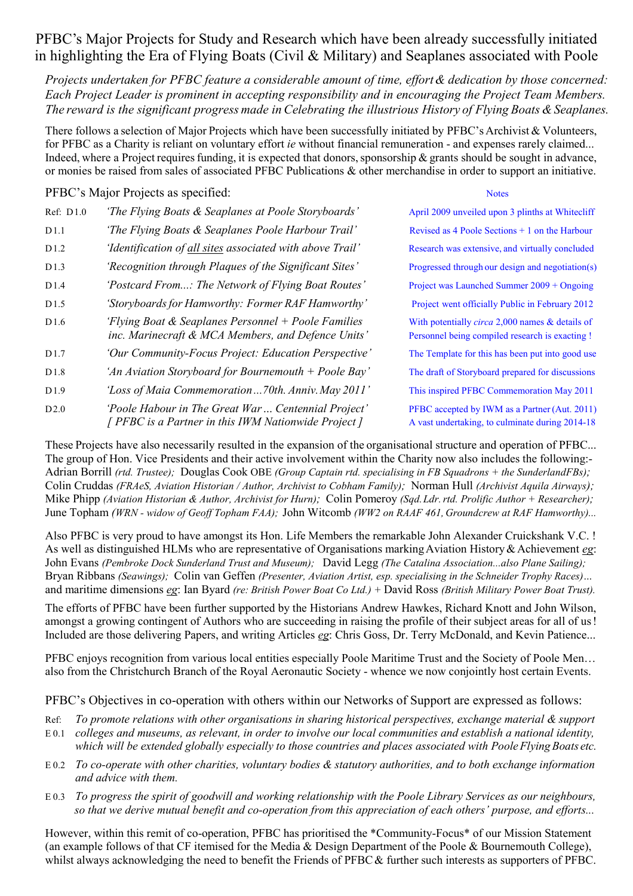## PFBC's Major Projects for Study and Research which have been already successfully initiated in highlighting the Era of Flying Boats (Civil & Military) and Seaplanes associated with Poole

Projects undertaken for PFBC feature a considerable amount of time, effort & dedication by those concerned: Each Project Leader is prominent in accepting responsibility and in encouraging the Project Team Members. The reward is the significant progress made in Celebrating the illustrious History of Flying Boats & Seaplanes.

There follows a selection of Major Projects which have been successfully initiated by PFBC's Archivist & Volunteers, for PFBC as a Charity is reliant on voluntary effort *ie* without financial remuneration - and expenses rarely claimed... Indeed, where a Project requires funding, it is expected that donors, sponsorship  $\&$  grants should be sought in advance, or monies be raised from sales of associated PFBC Publications & other merchandise in order to support an initiative.

PFBC's Major Projects as specified: Notes

| Ref: D1.0        | 'The Flying Boats & Seaplanes at Poole Storyboards'                                                       | April 2009 unveiled upon 3 plinths at Whitecliff                                                             |
|------------------|-----------------------------------------------------------------------------------------------------------|--------------------------------------------------------------------------------------------------------------|
| D1.1             | 'The Flying Boats & Seaplanes Poole Harbour Trail'                                                        | Revised as 4 Poole Sections $+1$ on the Harbour                                                              |
| D <sub>1.2</sub> | 'Identification of all sites associated with above Trail'                                                 | Research was extensive, and virtually concluded                                                              |
| D1.3             | 'Recognition through Plaques of the Significant Sites'                                                    | Progressed through our design and negotiation(s)                                                             |
| D1.4             | 'Postcard From: The Network of Flying Boat Routes'                                                        | Project was Launched Summer 2009 + Ongoing                                                                   |
| D <sub>1.5</sub> | 'Storyboards for Hamworthy: Former RAF Hamworthy'                                                         | Project went officially Public in February 2012                                                              |
| D <sub>1.6</sub> | 'Flying Boat & Seaplanes Personnel + Poole Families<br>inc. Marinecraft & MCA Members, and Defence Units' | With potentially <i>circa</i> 2,000 names $\&$ details of<br>Personnel being compiled research is exacting ! |
| D <sub>1.7</sub> | 'Our Community-Focus Project: Education Perspective'                                                      | The Template for this has been put into good use                                                             |
| D <sub>1.8</sub> | 'An Aviation Storyboard for Bournemouth $+$ Poole Bay'                                                    | The draft of Storyboard prepared for discussions                                                             |
| D <sub>1.9</sub> | 'Loss of Maia Commemoration70th. Anniv. May 2011'                                                         | This inspired PFBC Commemoration May 2011                                                                    |
| D2.0             | 'Poole Habour in The Great War Centennial Project'<br>[ PFBC is a Partner in this IWM Nationwide Project] | PFBC accepted by IWM as a Partner (Aut. 2011)<br>A vast undertaking, to culminate during 2014-18             |

These Projects have also necessarily resulted in the expansion of the organisational structure and operation of PFBC... The group of Hon. Vice Presidents and their active involvement within the Charity now also includes the following:- Adrian Borrill (rtd. Trustee); Douglas Cook OBE (Group Captain rtd. specialising in FB Squadrons + the SunderlandFBs); Colin Cruddas (FRAeS, Aviation Historian / Author, Archivist to Cobham Family); Norman Hull (Archivist Aquila Airways); Mike Phipp (Aviation Historian & Author, Archivist for Hurn); Colin Pomeroy (Sqd. Ldr. rtd. Prolific Author + Researcher); June Topham (WRN - widow of Geoff Topham FAA); John Witcomb (WW2 on RAAF 461, Groundcrew at RAF Hamworthy)...

Also PFBC is very proud to have amongst its Hon. Life Members the remarkable John Alexander Cruickshank V.C. ! As well as distinguished HLMs who are representative of Organisations marking Aviation History & Achievement eg: John Evans (Pembroke Dock Sunderland Trust and Museum); David Legg (The Catalina Association...also Plane Sailing); Bryan Ribbans (Seawings); Colin van Geffen (Presenter, Aviation Artist, esp. specialising in the Schneider Trophy Races)… and maritime dimensions eg: Ian Byard (re: British Power Boat Co Ltd.) + David Ross (British Military Power Boat Trust).

The efforts of PFBC have been further supported by the Historians Andrew Hawkes, Richard Knott and John Wilson, amongst a growing contingent of Authors who are succeeding in raising the profile of their subject areas for all of us! Included are those delivering Papers, and writing Articles eg: Chris Goss, Dr. Terry McDonald, and Kevin Patience...

PFBC enjoys recognition from various local entities especially Poole Maritime Trust and the Society of Poole Men... also from the Christchurch Branch of the Royal Aeronautic Society - whence we now conjointly host certain Events.

PFBC's Objectives in co-operation with others within our Networks of Support are expressed as follows:

- Ref: To promote relations with other organisations in sharing historical perspectives, exchange material & support
- E 0.1 colleges and museums, as relevant, in order to involve our local communities and establish a national identity, which will be extended globally especially to those countries and places associated with Poole Flying Boats etc.
- E 0.2 To co-operate with other charities, voluntary bodies & statutory authorities, and to both exchange information and advice with them.
- E 0.3 To progress the spirit of goodwill and working relationship with the Poole Library Services as our neighbours, so that we derive mutual benefit and co-operation from this appreciation of each others' purpose, and efforts...

However, within this remit of co-operation, PFBC has prioritised the \*Community-Focus\* of our Mission Statement (an example follows of that CF itemised for the Media & Design Department of the Poole & Bournemouth College), whilst always acknowledging the need to benefit the Friends of PFBC & further such interests as supporters of PFBC.